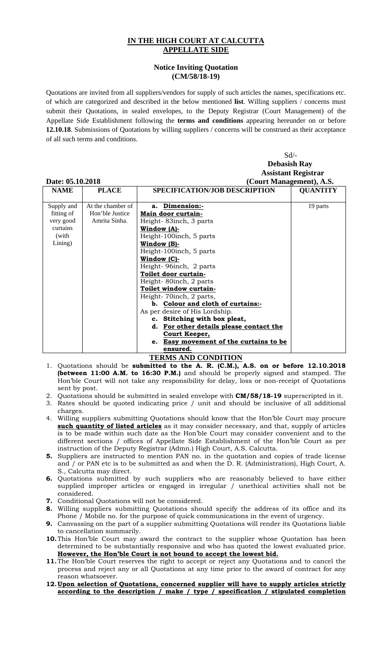## **IN THE HIGH COURT AT CALCUTTA APPELLATE SIDE**

## **Notice Inviting Quotation (CM/58/18-19)**

Quotations are invited from all suppliers/vendors for supply of such articles the names, specifications etc. of which are categorized and described in the below mentioned **list**. Willing suppliers / concerns must submit their Quotations, in sealed envelopes, to the Deputy Registrar (Court Management) of the Appellate Side Establishment following the **terms and conditions** appearing hereunder on or before **12.10.18**. Submissions of Quotations by willing suppliers / concerns will be construed as their acceptance of all such terms and conditions.

|                  |                   | $Sd$ /-                                          |                          |  |
|------------------|-------------------|--------------------------------------------------|--------------------------|--|
|                  |                   | <b>Debasish Ray</b>                              |                          |  |
|                  |                   | <b>Assistant Registrar</b>                       |                          |  |
| Date: 05.10.2018 |                   |                                                  | (Court Management), A.S. |  |
| <b>NAME</b>      | <b>PLACE</b>      | <b>SPECIFICATION/JOB DESCRIPTION</b>             | <b>QUANTITY</b>          |  |
|                  |                   |                                                  |                          |  |
| Supply and       | At the chamber of | a. Dimension:-                                   | 19 parts                 |  |
| fitting of       | Hon'ble Justice   | Main door curtain-                               |                          |  |
| very good        | Amrita Sinha.     | Height-83inch, 3 parts                           |                          |  |
| curtains         |                   | Window (A)-                                      |                          |  |
| (with            |                   | Height-100inch, 5 parts                          |                          |  |
| Lining)          |                   | Window (B)-                                      |                          |  |
|                  |                   | Height-100inch, 5 parts                          |                          |  |
|                  |                   | Window (C)-                                      |                          |  |
|                  |                   | Height-96inch, 2 parts                           |                          |  |
|                  |                   | Toilet door curtain-                             |                          |  |
|                  |                   | Height-80inch, 2 parts                           |                          |  |
|                  |                   | Toilet window curtain-                           |                          |  |
|                  |                   | Height-70inch, 2 parts,                          |                          |  |
|                  |                   | b. Colour and cloth of curtains:-                |                          |  |
|                  |                   | As per desire of His Lordship.                   |                          |  |
|                  |                   | c. Stitching with box pleat,                     |                          |  |
|                  |                   | For other details please contact the<br>d.       |                          |  |
|                  |                   | Court Keeper,                                    |                          |  |
|                  |                   | <b>Easy movement of the curtains to be</b><br>e. |                          |  |
|                  |                   | ensured.                                         |                          |  |

## **TERMS AND CONDITION**

- 1. Quotations should be **submitted to the A. R. (C.M.), A.S. on or before 12.10.2018 (between 11:00 A.M. to 16:30 P.M.)** and should be properly signed and stamped. The Hon'ble Court will not take any responsibility for delay, loss or non-receipt of Quotations sent by post.
- 2. Quotations should be submitted in sealed envelope with **CM/58/18-19** superscripted in it.
- 3. Rates should be quoted indicating price / unit and should be inclusive of all additional charges.
- 4. Willing suppliers submitting Quotations should know that the Hon'ble Court may procure **such quantity of listed articles** as it may consider necessary, and that, supply of articles is to be made within such date as the Hon'ble Court may consider convenient and to the different sections / offices of Appellate Side Establishment of the Hon'ble Court as per instruction of the Deputy Registrar (Admn.) High Court, A.S. Calcutta.
- **5.** Suppliers are instructed to mention PAN no. in the quotation and copies of trade license and / or PAN etc is to be submitted as and when the D. R. (Administration), High Court, A. S., Calcutta may direct.
- **6.** Quotations submitted by such suppliers who are reasonably believed to have either supplied improper articles or engaged in irregular / unethical activities shall not be considered.
- **7.** Conditional Quotations will not be considered.
- **8.** Willing suppliers submitting Quotations should specify the address of its office and its Phone / Mobile no. for the purpose of quick communications in the event of urgency.
- **9.** Canvassing on the part of a supplier submitting Quotations will render its Quotations liable to cancellation summarily.
- **10.**This Hon'ble Court may award the contract to the supplier whose Quotation has been determined to be substantially responsive and who has quoted the lowest evaluated price. **However, the Hon'ble Court is not bound to accept the lowest bid.**
- **11.**The Hon'ble Court reserves the right to accept or reject any Quotations and to cancel the process and reject any or all Quotations at any time prior to the award of contract for any reason whatsoever.
- **12.Upon selection of Quotations, concerned supplier will have to supply articles strictly according to the description / make / type / specification / stipulated completion**